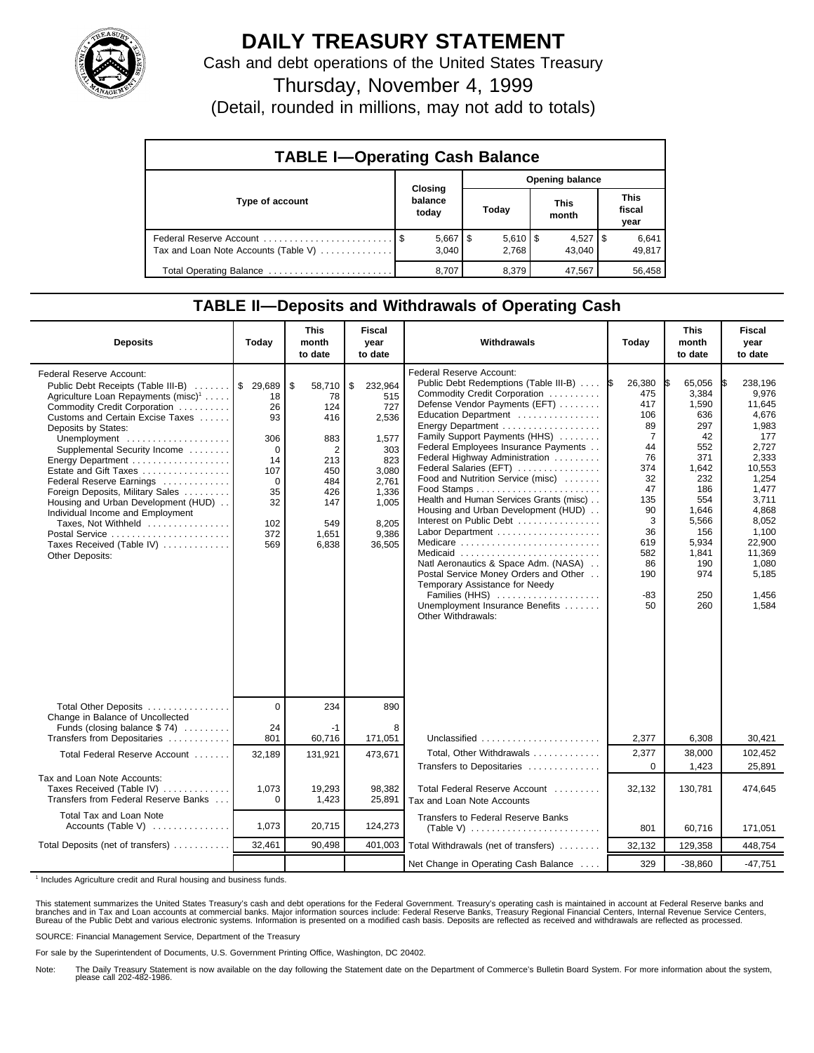

## **DAILY TREASURY STATEMENT**

Cash and debt operations of the United States Treasury

Thursday, November 4, 1999

(Detail, rounded in millions, may not add to totals)

| <b>TABLE I-Operating Cash Balance</b> |                             |                             |                      |                               |  |  |  |  |
|---------------------------------------|-----------------------------|-----------------------------|----------------------|-------------------------------|--|--|--|--|
|                                       |                             | Opening balance             |                      |                               |  |  |  |  |
| Type of account                       | Closing<br>balance<br>today | Today                       | <b>This</b><br>month | <b>This</b><br>fiscal<br>year |  |  |  |  |
| Tax and Loan Note Accounts (Table V)  | $5,667$ $\mid$ \$<br>3.040  | $5,610$ $\sqrt{5}$<br>2.768 | $4,527$ S<br>43.040  | 6,641<br>49,817               |  |  |  |  |
| Total Operating Balance               | 8,707                       | 8,379                       | 47,567               | 56,458                        |  |  |  |  |

## **TABLE II—Deposits and Withdrawals of Operating Cash**

| <b>Deposits</b>                                                                                                                                                                                                                                                                                                                                                                                                                                                                                                                                                  | Today                                                                                       | This<br>month<br>to date                                                                                 | <b>Fiscal</b><br>year<br>to date                                                                                            | Withdrawals                                                                                                                                                                                                                                                                                                                                                                                                                                                                                                                                                                                                                                                                                                      | Todav                                                                                                                                                     | <b>This</b><br>month<br>to date                                                                                                                                 | <b>Fiscal</b><br>year<br>to date                                                                                                                                                              |
|------------------------------------------------------------------------------------------------------------------------------------------------------------------------------------------------------------------------------------------------------------------------------------------------------------------------------------------------------------------------------------------------------------------------------------------------------------------------------------------------------------------------------------------------------------------|---------------------------------------------------------------------------------------------|----------------------------------------------------------------------------------------------------------|-----------------------------------------------------------------------------------------------------------------------------|------------------------------------------------------------------------------------------------------------------------------------------------------------------------------------------------------------------------------------------------------------------------------------------------------------------------------------------------------------------------------------------------------------------------------------------------------------------------------------------------------------------------------------------------------------------------------------------------------------------------------------------------------------------------------------------------------------------|-----------------------------------------------------------------------------------------------------------------------------------------------------------|-----------------------------------------------------------------------------------------------------------------------------------------------------------------|-----------------------------------------------------------------------------------------------------------------------------------------------------------------------------------------------|
| Federal Reserve Account:<br>Public Debt Receipts (Table III-B)  \$ 29,689<br>Agriculture Loan Repayments (misc) <sup>1</sup><br>Commodity Credit Corporation<br>Customs and Certain Excise Taxes<br>Deposits by States:<br>Unemployment<br>Supplemental Security Income<br>Energy Department<br>Estate and Gift Taxes<br>Federal Reserve Earnings<br>Foreign Deposits, Military Sales<br>Housing and Urban Development (HUD)<br>Individual Income and Employment<br>Taxes, Not Withheld<br>Postal Service<br>Taxes Received (Table IV)<br><b>Other Deposits:</b> | 18<br>26<br>93<br>306<br>$\Omega$<br>14<br>107<br>$\Omega$<br>35<br>32<br>102<br>372<br>569 | \$<br>58,710<br>78<br>124<br>416<br>883<br>2<br>213<br>450<br>484<br>426<br>147<br>549<br>1,651<br>6,838 | \$<br>232,964<br>515<br>727<br>2,536<br>1,577<br>303<br>823<br>3,080<br>2.761<br>1,336<br>1,005<br>8,205<br>9,386<br>36,505 | Federal Reserve Account:<br>Public Debt Redemptions (Table III-B)<br>Commodity Credit Corporation<br>Defense Vendor Payments (EFT)<br>Education Department<br>Energy Department<br>Family Support Payments (HHS)<br>Federal Employees Insurance Payments<br>Federal Highway Administration<br>Federal Salaries (EFT)<br>Food and Nutrition Service (misc)<br>Health and Human Services Grants (misc)<br>Housing and Urban Development (HUD)<br>Interest on Public Debt<br>Labor Department<br>Medicare<br>Medicaid<br>Natl Aeronautics & Space Adm. (NASA)<br>Postal Service Money Orders and Other<br>Temporary Assistance for Needy<br>Families (HHS)<br>Unemployment Insurance Benefits<br>Other Withdrawals: | 26,380<br>I\$<br>475<br>417<br>106<br>89<br>$\overline{7}$<br>44<br>76<br>374<br>32<br>47<br>135<br>90<br>3<br>36<br>619<br>582<br>86<br>190<br>-83<br>50 | 65,056<br>3,384<br>1,590<br>636<br>297<br>42<br>552<br>371<br>1,642<br>232<br>186<br>554<br>1,646<br>5,566<br>156<br>5,934<br>1,841<br>190<br>974<br>250<br>260 | 238,196<br>9.976<br>11.645<br>4,676<br>1,983<br>177<br>2.727<br>2,333<br>10,553<br>1,254<br>1,477<br>3,711<br>4,868<br>8,052<br>1,100<br>22,900<br>11,369<br>1,080<br>5,185<br>1,456<br>1,584 |
| Total Other Deposits<br>Change in Balance of Uncollected                                                                                                                                                                                                                                                                                                                                                                                                                                                                                                         | $\Omega$                                                                                    | 234                                                                                                      | 890                                                                                                                         |                                                                                                                                                                                                                                                                                                                                                                                                                                                                                                                                                                                                                                                                                                                  |                                                                                                                                                           |                                                                                                                                                                 |                                                                                                                                                                                               |
| Funds (closing balance \$74)<br>Transfers from Depositaries                                                                                                                                                                                                                                                                                                                                                                                                                                                                                                      | 24<br>801                                                                                   | -1<br>60,716                                                                                             | 8<br>171,051                                                                                                                | Unclassified                                                                                                                                                                                                                                                                                                                                                                                                                                                                                                                                                                                                                                                                                                     | 2,377                                                                                                                                                     | 6,308                                                                                                                                                           | 30,421                                                                                                                                                                                        |
| Total Federal Reserve Account                                                                                                                                                                                                                                                                                                                                                                                                                                                                                                                                    | 32,189                                                                                      | 131,921                                                                                                  | 473,671                                                                                                                     | Total, Other Withdrawals                                                                                                                                                                                                                                                                                                                                                                                                                                                                                                                                                                                                                                                                                         | 2,377                                                                                                                                                     | 38,000                                                                                                                                                          | 102,452                                                                                                                                                                                       |
| Tax and Loan Note Accounts:<br>Taxes Received (Table IV)<br>Transfers from Federal Reserve Banks                                                                                                                                                                                                                                                                                                                                                                                                                                                                 | 1,073<br>$\Omega$                                                                           | 19.293<br>1,423                                                                                          | 98.382<br>25,891                                                                                                            | Transfers to Depositaries<br>Total Federal Reserve Account<br>Tax and Loan Note Accounts                                                                                                                                                                                                                                                                                                                                                                                                                                                                                                                                                                                                                         | $\Omega$<br>32,132                                                                                                                                        | 1,423<br>130,781                                                                                                                                                | 25,891<br>474,645                                                                                                                                                                             |
| Total Tax and Loan Note<br>Accounts (Table V)                                                                                                                                                                                                                                                                                                                                                                                                                                                                                                                    | 1,073                                                                                       | 20,715                                                                                                   | 124,273                                                                                                                     | Transfers to Federal Reserve Banks<br>$(Table V)$                                                                                                                                                                                                                                                                                                                                                                                                                                                                                                                                                                                                                                                                | 801                                                                                                                                                       | 60,716                                                                                                                                                          | 171,051                                                                                                                                                                                       |
| Total Deposits (net of transfers)                                                                                                                                                                                                                                                                                                                                                                                                                                                                                                                                | 32,461                                                                                      | 90.498                                                                                                   | 401,003                                                                                                                     | Total Withdrawals (net of transfers)                                                                                                                                                                                                                                                                                                                                                                                                                                                                                                                                                                                                                                                                             | 32,132                                                                                                                                                    | 129,358                                                                                                                                                         | 448,754                                                                                                                                                                                       |
|                                                                                                                                                                                                                                                                                                                                                                                                                                                                                                                                                                  |                                                                                             |                                                                                                          |                                                                                                                             | Net Change in Operating Cash Balance                                                                                                                                                                                                                                                                                                                                                                                                                                                                                                                                                                                                                                                                             | 329                                                                                                                                                       | $-38,860$                                                                                                                                                       | $-47.751$                                                                                                                                                                                     |

<sup>1</sup> Includes Agriculture credit and Rural housing and business funds.

This statement summarizes the United States Treasury's cash and debt operations for the Federal Government. Treasury's operating cash is maintained in account at Federal Reserve banks and<br>branches and in Tax and Loan accou

SOURCE: Financial Management Service, Department of the Treasury

For sale by the Superintendent of Documents, U.S. Government Printing Office, Washington, DC 20402.

Note: The Daily Treasury Statement is now available on the day following the Statement date on the Department of Commerce's Bulletin Board System. For more information about the system, please call 202-482-1986.